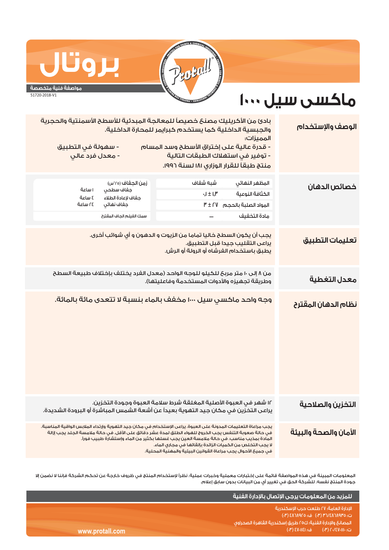

# **بروتال**

#### **مواصفة فنية متخصصة**

51720-2018-V1

## **ماكسى سيل ١٠٠٠**

| الوصف والإستخدام      | بادئ من الأكريليك مصنع خصيصاً للمعالجة المبدئية للأسطح الأسمنتية والحجرية<br>والجبسية الداخلية كما يستخدم كبرايمر للمحارة الداخلية.<br>المميزات:<br>- سهولة في التطبيق<br>- قدرة عالية على إختراق الأسطح وسد المسام<br>- معدل فرد عالي<br>- توفير في استهلاك الطبقات التالية<br>منتج طبقاً للقرار الوزاري ١٨١ لسنة ١٩٩٦.                                                                                                                          |                                                                                                |                             |  |  |
|-----------------------|---------------------------------------------------------------------------------------------------------------------------------------------------------------------------------------------------------------------------------------------------------------------------------------------------------------------------------------------------------------------------------------------------------------------------------------------------|------------------------------------------------------------------------------------------------|-----------------------------|--|--|
| خصائص الدهان          | شبه شغاف<br>المظهر النهائي<br>الكثافة النوعية<br>$\cdot$ , $1 \pm 1.1^{\circ}$<br>المواد الصلبة بالحجم ٣ ± ٢<br>مادة التخفيف                                                                                                                                                                                                                                                                                                                      | زمن الجغاف (٢٥°س)<br>جفاف سطحي<br>جفاف لإعادة الطلاء<br>جفاف نهائى<br>سمك الغىلم الحاف المقترح | ا ساعة<br>ة ساعة<br>٢٤ ساعة |  |  |
| تعليمات التطبيق       | يجب أن يكون السطح خاليا تماما من الزيوت و الدهون و أى شوائب أخرى.<br>يراعى التقليب جيدا قبل التطبيق.<br>يطبق باستخدام الفرشاه أو الرولة أو الرش.                                                                                                                                                                                                                                                                                                  |                                                                                                |                             |  |  |
| معدل التغطية          | من ٨ إلى ١٠ متر مربعَ للكيلو للوجه الواحد (معدل الفرد يختلف بإختلاف طبيعة السطح<br>وطريقة تجهيزه والأدوات المستخدمة وفاعليتها).                                                                                                                                                                                                                                                                                                                   |                                                                                                |                             |  |  |
| نظام الدهان المقترح   | وجه واحد ماكسي سيل ١٠٠٠ مخفف بالماء بنسبة لا تتعدى مائة بالمائة.                                                                                                                                                                                                                                                                                                                                                                                  |                                                                                                |                             |  |  |
| التخزين والصلاحية     | ١٢ شهر في العبوة الأصلية المغلقة شرط سلامة العبوة وجودة التخزين.<br>يراعى التخزين في مكان جيد التهوية بعيداً عن أشعة الشمس المباشرة أو البرودة الشديدة.                                                                                                                                                                                                                                                                                           |                                                                                                |                             |  |  |
| الأمان والصحة والبيئة | يجب مراعاة التعليمات المدونة على العبوة. يراعى الإستخدام في مكان جيد التهوية وإرتداء الملابس الواقية المناسبة.<br>فى حالة صعوبة التنفس يجب الخروج للهواء الطلق لمدة عشر دقائق على الأقل. فى حالة ملامسة الجلد يجب إزالة<br>المادة بمذيب مناسب. في حالة ملامسة العين يجب غسلها بكثير من الماء وإستشارة طبيب فوراً.<br>لا يجب التخلص من الكميات الزائدة بإلقائها فى مجارى الماء.<br>في حميـًا الأحوال بحب مراعاة القوانين البيئية والمهنية المحلية. |                                                                                                |                             |  |  |

المعلومات المبينة في هذه المواصفة قائمة على إختبارات معملية وخبرات عملية. نظراً لإستخدام المنتج في ظروف خارجة عن تحكم الشركة فإننا لا نضمن إلا جودة المنتج نفسه. للشركة الحق في تغيير أي من البيانات بدون سابق إعلام.

|                 | للمزيد من المعلومات يرجى الإتصال بالإدارة الفنية                                                                                         |
|-----------------|------------------------------------------------------------------------------------------------------------------------------------------|
|                 | الإدارة العامة؛ ٢٧ طلعت حرب الإسكندرية<br>ت: ٥٣٩٨٢٨٦٨٧٣٥ (٣٠) ف: ٤٨٦٨٩٢٥ (٣٠)                                                            |
|                 | المصانعَ والإدارة الفنية؛ ك٢٥ طريق إسكندرية القاهرة الصحراوى ر                                                                           |
| www.protall.com | ف: EV-IIEI) 8<br>$\mathsf{I} = (\mathsf{I}^{\mathsf{p}}) \cap \mathsf{I} \setminus \mathsf{I} \setminus \mathsf{I} \setminus \mathsf{I}$ |